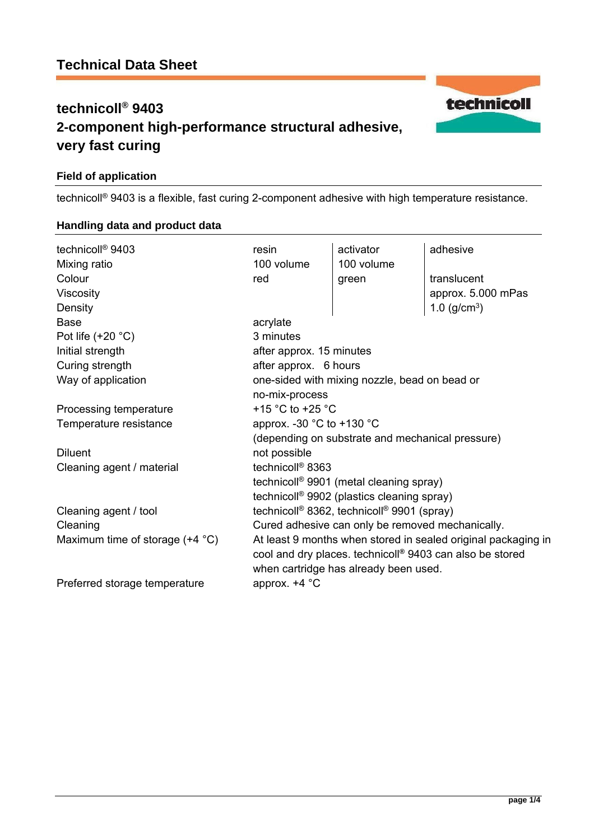# **technicoll® 9403 2-component high-performance structural adhesive, very fast curing**

## **Field of application**

technicoll® 9403 is a flexible, fast curing 2-component adhesive with high temperature resistance.

| technicoll <sup>®</sup> 9403             | resin                                                                | activator  | adhesive           |
|------------------------------------------|----------------------------------------------------------------------|------------|--------------------|
| Mixing ratio                             | 100 volume                                                           | 100 volume |                    |
| Colour                                   | red                                                                  | green      | translucent        |
| Viscosity                                |                                                                      |            | approx. 5.000 mPas |
| Density                                  |                                                                      |            | 1.0 $(g/cm^{3})$   |
| <b>Base</b>                              | acrylate                                                             |            |                    |
| Pot life $(+20 °C)$                      | 3 minutes                                                            |            |                    |
| Initial strength                         | after approx. 15 minutes                                             |            |                    |
| Curing strength                          | after approx. 6 hours                                                |            |                    |
| Way of application                       | one-sided with mixing nozzle, bead on bead or                        |            |                    |
|                                          | no-mix-process                                                       |            |                    |
| Processing temperature                   | +15 $^{\circ}$ C to +25 $^{\circ}$ C                                 |            |                    |
| Temperature resistance                   | approx. -30 $^{\circ}$ C to +130 $^{\circ}$ C                        |            |                    |
|                                          | (depending on substrate and mechanical pressure)                     |            |                    |
| <b>Diluent</b>                           | not possible                                                         |            |                    |
| Cleaning agent / material                | technicoll <sup>®</sup> 8363                                         |            |                    |
|                                          | technicoll <sup>®</sup> 9901 (metal cleaning spray)                  |            |                    |
|                                          | technicoll <sup>®</sup> 9902 (plastics cleaning spray)               |            |                    |
| Cleaning agent / tool                    | technicoll <sup>®</sup> 8362, technicoll <sup>®</sup> 9901 (spray)   |            |                    |
| Cleaning                                 | Cured adhesive can only be removed mechanically.                     |            |                    |
| Maximum time of storage $(+4 \degree C)$ | At least 9 months when stored in sealed original packaging in        |            |                    |
|                                          | cool and dry places. technicoll <sup>®</sup> 9403 can also be stored |            |                    |
|                                          | when cartridge has already been used.                                |            |                    |
| Preferred storage temperature            | approx. $+4$ °C                                                      |            |                    |
|                                          |                                                                      |            |                    |

## **Handling data and product data**

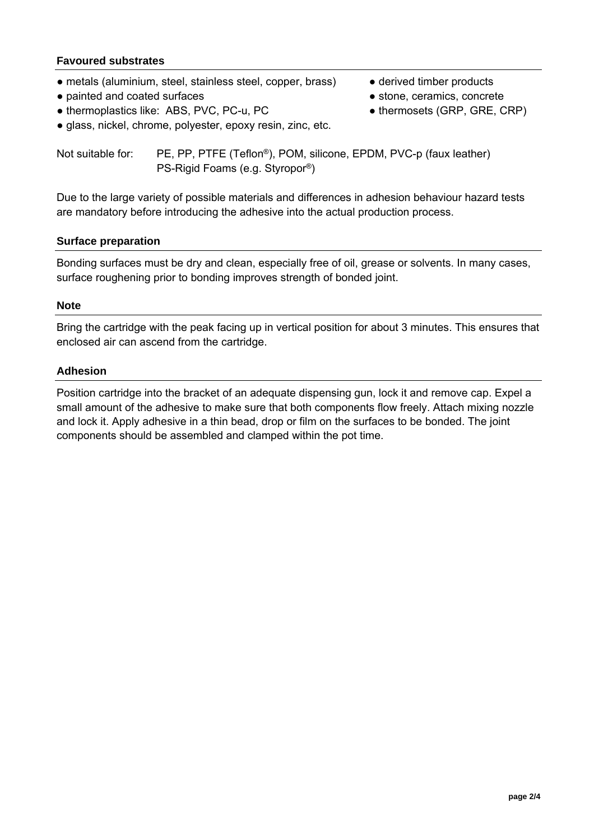## **Favoured substrates**

- metals (aluminium, steel, stainless steel, copper, brass) derived timber products
- painted and coated surfaces stone, ceramics, concrete
- thermoplastics like: ABS, PVC, PC-u, PC <br>● thermosets (GRP, GRE, CRP)
- 
- -
- glass, nickel, chrome, polyester, epoxy resin, zinc, etc.

Not suitable for: PE, PP, PTFE (Teflon®), POM, silicone, EPDM, PVC-p (faux leather) PS-Rigid Foams (e.g. Styropor®)

Due to the large variety of possible materials and differences in adhesion behaviour hazard tests are mandatory before introducing the adhesive into the actual production process.

## **Surface preparation**

Bonding surfaces must be dry and clean, especially free of oil, grease or solvents. In many cases, surface roughening prior to bonding improves strength of bonded joint.

## **Note**

Bring the cartridge with the peak facing up in vertical position for about 3 minutes. This ensures that enclosed air can ascend from the cartridge.

## **Adhesion**

Position cartridge into the bracket of an adequate dispensing gun, lock it and remove cap. Expel a small amount of the adhesive to make sure that both components flow freely. Attach mixing nozzle and lock it. Apply adhesive in a thin bead, drop or film on the surfaces to be bonded. The joint components should be assembled and clamped within the pot time.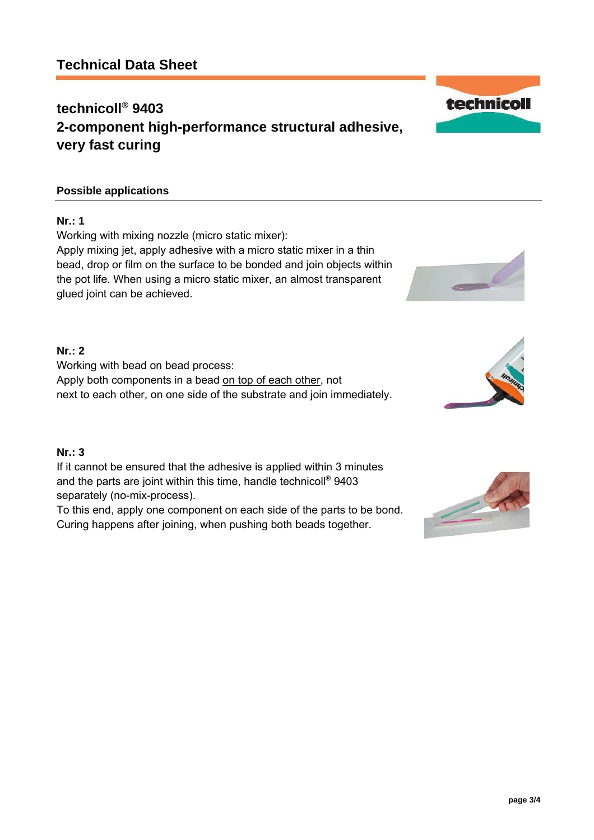# **Technical Data Sheet**

# **technicoll® 9403 2-component high-performance structural adhesive, very fast curing**

## **Possible applications**

## **Nr.: 1**

Working with mixing nozzle (micro static mixer): Apply mixing jet, apply adhesive with a micro static mixer in a thin bead, drop or film on the surface to be bonded and join objects within the pot life. When using a micro static mixer, an almost transparent glued joint can be achieved.

## **Nr.: 2**

Working with bead on bead process: Apply both components in a bead on top of each other, not next to each other, on one side of the substrate and join immediately.

# **Nr.: 3**

If it cannot be ensured that the adhesive is applied within 3 minutes and the parts are joint within this time, handle technicoll**®** 9403 separately (no-mix-process).

To this end, apply one component on each side of the parts to be bond. Curing happens after joining, when pushing both beads together.